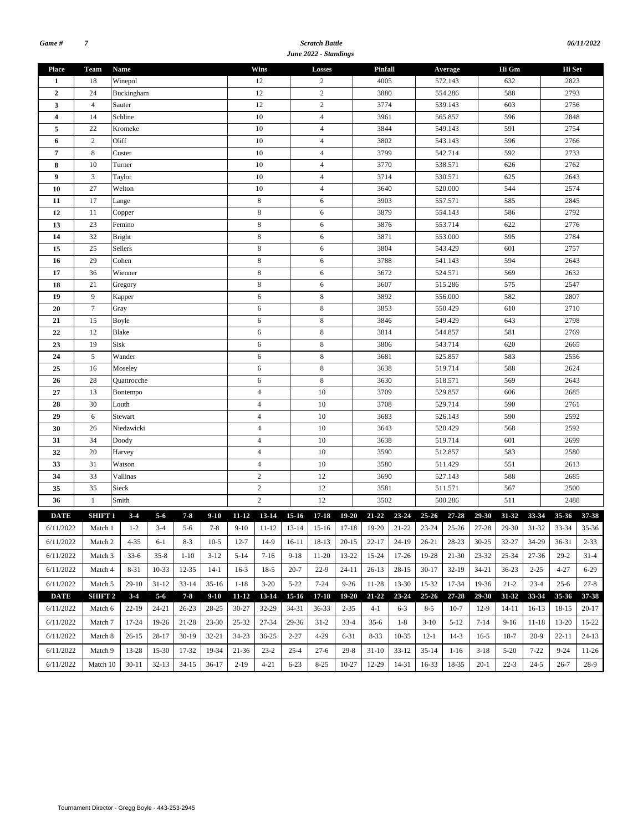#### *Scratch Battle June 2022 - Standings*

| Wins<br>Hi Gm<br><b>Place</b><br><b>Team</b><br>Name<br>Losses<br>Pinfall<br>Hi Set<br>Average<br>18<br>12<br>572.143<br>632<br>Winepol<br>2<br>4005<br>2823<br>1<br>24<br>12<br>$\sqrt{2}$<br>588<br>2793<br>3880<br>554.286<br>$\overline{2}$<br>Buckingham<br>12<br>$\overline{c}$<br>3<br>$\overline{4}$<br>Sauter<br>3774<br>539.143<br>603<br>2756<br>$\overline{4}$<br>14<br>Schline<br>10<br>2848<br>$\overline{\mathbf{4}}$<br>3961<br>565.857<br>596<br>$\overline{4}$<br>5<br>22<br>Kromeke<br>10<br>3844<br>549.143<br>591<br>2754<br>$\mathfrak{2}$<br>Oliff<br>10<br>$\overline{4}$<br>3802<br>543.143<br>2766<br>596<br>6<br>$\,$ 8 $\,$<br>592<br>2733<br>10<br>$\overline{4}$<br>3799<br>542.714<br>7<br>Custer<br>2762<br>8<br>10<br>10<br>$\overline{4}$<br>3770<br>538.571<br>626<br>Turner<br>3<br>10<br>$\overline{4}$<br>3714<br>530.571<br>625<br>2643<br>$\boldsymbol{9}$<br>Taylor<br>27<br>$\overline{4}$<br>544<br>2574<br>10<br>3640<br>520.000<br>Welton<br>10<br>17<br>8<br>6<br>3903<br>557.571<br>585<br>2845<br>11<br>Lange<br>$\,$ 8 $\,$<br>586<br>2792<br>12<br>11<br>6<br>3879<br>554.143<br>Copper<br>8<br>2776<br>13<br>23<br>Femino<br>6<br>3876<br>553.714<br>622<br>8<br>32<br><b>Bright</b><br>6<br>3871<br>553.000<br>2784<br>14<br>595<br>$\,$ 8 $\,$<br>2757<br>25<br>Sellers<br>6<br>3804<br>543.429<br>601<br>15<br>29<br>Cohen<br>8<br>6<br>3788<br>541.143<br>594<br>2643<br>16<br>8<br>524.571<br>2632<br>36<br>Wienner<br>6<br>3672<br>569<br>17<br>2547<br>18<br>21<br>8<br>6<br>3607<br>515.286<br>575<br>Gregory<br>$\,8\,$<br>9<br>6<br>582<br>2807<br>19<br>3892<br>556.000<br>Kapper<br>$\tau$<br>$\,$ 8 $\,$<br>2710<br>20<br>6<br>3853<br>550.429<br>610<br>Gray<br>15<br>6<br>8<br>3846<br>643<br>2798<br>21<br>Boyle<br>549.429<br><b>Blake</b><br>$\,$ 8 $\,$<br>2769<br>22<br>12<br>3814<br>544.857<br>581<br>6<br>Sisk<br>8<br>23<br>19<br>3806<br>543.714<br>620<br>2665<br>6<br>$\sqrt{5}$<br>$\,$ 8 $\,$<br>Wander<br>2556<br>24<br>6<br>3681<br>525.857<br>583<br>$\,$ 8 $\,$<br>519.714<br>2624<br>25<br>16<br>6<br>3638<br>588<br>Moseley<br>28<br>8<br>3630<br>518.571<br>2643<br>Quattrocche<br>6<br>569<br>26<br>10<br>13<br>$\overline{4}$<br>3709<br>529.857<br>606<br>2685<br>27<br>Bontempo<br>10<br>28<br>30<br>$\overline{4}$<br>3708<br>529.714<br>590<br>2761<br>Louth |    |   |         |  |  |  |  |                |  |    |  |  |  |  |  |  |     |  |  |           |  |
|-----------------------------------------------------------------------------------------------------------------------------------------------------------------------------------------------------------------------------------------------------------------------------------------------------------------------------------------------------------------------------------------------------------------------------------------------------------------------------------------------------------------------------------------------------------------------------------------------------------------------------------------------------------------------------------------------------------------------------------------------------------------------------------------------------------------------------------------------------------------------------------------------------------------------------------------------------------------------------------------------------------------------------------------------------------------------------------------------------------------------------------------------------------------------------------------------------------------------------------------------------------------------------------------------------------------------------------------------------------------------------------------------------------------------------------------------------------------------------------------------------------------------------------------------------------------------------------------------------------------------------------------------------------------------------------------------------------------------------------------------------------------------------------------------------------------------------------------------------------------------------------------------------------------------------------------------------------------------------------------------------------------------------------------------------------------------------------------------------------------------------------------------------------------------------------------------------------------------------------------------------------------------------------------------------------------------------------------------------------|----|---|---------|--|--|--|--|----------------|--|----|--|--|--|--|--|--|-----|--|--|-----------|--|
|                                                                                                                                                                                                                                                                                                                                                                                                                                                                                                                                                                                                                                                                                                                                                                                                                                                                                                                                                                                                                                                                                                                                                                                                                                                                                                                                                                                                                                                                                                                                                                                                                                                                                                                                                                                                                                                                                                                                                                                                                                                                                                                                                                                                                                                                                                                                                           |    |   |         |  |  |  |  |                |  |    |  |  |  |  |  |  |     |  |  |           |  |
|                                                                                                                                                                                                                                                                                                                                                                                                                                                                                                                                                                                                                                                                                                                                                                                                                                                                                                                                                                                                                                                                                                                                                                                                                                                                                                                                                                                                                                                                                                                                                                                                                                                                                                                                                                                                                                                                                                                                                                                                                                                                                                                                                                                                                                                                                                                                                           |    |   |         |  |  |  |  |                |  |    |  |  |  |  |  |  |     |  |  |           |  |
|                                                                                                                                                                                                                                                                                                                                                                                                                                                                                                                                                                                                                                                                                                                                                                                                                                                                                                                                                                                                                                                                                                                                                                                                                                                                                                                                                                                                                                                                                                                                                                                                                                                                                                                                                                                                                                                                                                                                                                                                                                                                                                                                                                                                                                                                                                                                                           |    |   |         |  |  |  |  |                |  |    |  |  |  |  |  |  |     |  |  |           |  |
|                                                                                                                                                                                                                                                                                                                                                                                                                                                                                                                                                                                                                                                                                                                                                                                                                                                                                                                                                                                                                                                                                                                                                                                                                                                                                                                                                                                                                                                                                                                                                                                                                                                                                                                                                                                                                                                                                                                                                                                                                                                                                                                                                                                                                                                                                                                                                           |    |   |         |  |  |  |  |                |  |    |  |  |  |  |  |  |     |  |  |           |  |
|                                                                                                                                                                                                                                                                                                                                                                                                                                                                                                                                                                                                                                                                                                                                                                                                                                                                                                                                                                                                                                                                                                                                                                                                                                                                                                                                                                                                                                                                                                                                                                                                                                                                                                                                                                                                                                                                                                                                                                                                                                                                                                                                                                                                                                                                                                                                                           |    |   |         |  |  |  |  |                |  |    |  |  |  |  |  |  |     |  |  |           |  |
|                                                                                                                                                                                                                                                                                                                                                                                                                                                                                                                                                                                                                                                                                                                                                                                                                                                                                                                                                                                                                                                                                                                                                                                                                                                                                                                                                                                                                                                                                                                                                                                                                                                                                                                                                                                                                                                                                                                                                                                                                                                                                                                                                                                                                                                                                                                                                           |    |   |         |  |  |  |  |                |  |    |  |  |  |  |  |  |     |  |  |           |  |
|                                                                                                                                                                                                                                                                                                                                                                                                                                                                                                                                                                                                                                                                                                                                                                                                                                                                                                                                                                                                                                                                                                                                                                                                                                                                                                                                                                                                                                                                                                                                                                                                                                                                                                                                                                                                                                                                                                                                                                                                                                                                                                                                                                                                                                                                                                                                                           |    |   |         |  |  |  |  |                |  |    |  |  |  |  |  |  |     |  |  |           |  |
|                                                                                                                                                                                                                                                                                                                                                                                                                                                                                                                                                                                                                                                                                                                                                                                                                                                                                                                                                                                                                                                                                                                                                                                                                                                                                                                                                                                                                                                                                                                                                                                                                                                                                                                                                                                                                                                                                                                                                                                                                                                                                                                                                                                                                                                                                                                                                           |    |   |         |  |  |  |  |                |  |    |  |  |  |  |  |  |     |  |  |           |  |
|                                                                                                                                                                                                                                                                                                                                                                                                                                                                                                                                                                                                                                                                                                                                                                                                                                                                                                                                                                                                                                                                                                                                                                                                                                                                                                                                                                                                                                                                                                                                                                                                                                                                                                                                                                                                                                                                                                                                                                                                                                                                                                                                                                                                                                                                                                                                                           |    |   |         |  |  |  |  |                |  |    |  |  |  |  |  |  |     |  |  |           |  |
|                                                                                                                                                                                                                                                                                                                                                                                                                                                                                                                                                                                                                                                                                                                                                                                                                                                                                                                                                                                                                                                                                                                                                                                                                                                                                                                                                                                                                                                                                                                                                                                                                                                                                                                                                                                                                                                                                                                                                                                                                                                                                                                                                                                                                                                                                                                                                           |    |   |         |  |  |  |  |                |  |    |  |  |  |  |  |  |     |  |  |           |  |
|                                                                                                                                                                                                                                                                                                                                                                                                                                                                                                                                                                                                                                                                                                                                                                                                                                                                                                                                                                                                                                                                                                                                                                                                                                                                                                                                                                                                                                                                                                                                                                                                                                                                                                                                                                                                                                                                                                                                                                                                                                                                                                                                                                                                                                                                                                                                                           |    |   |         |  |  |  |  |                |  |    |  |  |  |  |  |  |     |  |  |           |  |
|                                                                                                                                                                                                                                                                                                                                                                                                                                                                                                                                                                                                                                                                                                                                                                                                                                                                                                                                                                                                                                                                                                                                                                                                                                                                                                                                                                                                                                                                                                                                                                                                                                                                                                                                                                                                                                                                                                                                                                                                                                                                                                                                                                                                                                                                                                                                                           |    |   |         |  |  |  |  |                |  |    |  |  |  |  |  |  |     |  |  |           |  |
|                                                                                                                                                                                                                                                                                                                                                                                                                                                                                                                                                                                                                                                                                                                                                                                                                                                                                                                                                                                                                                                                                                                                                                                                                                                                                                                                                                                                                                                                                                                                                                                                                                                                                                                                                                                                                                                                                                                                                                                                                                                                                                                                                                                                                                                                                                                                                           |    |   |         |  |  |  |  |                |  |    |  |  |  |  |  |  |     |  |  |           |  |
|                                                                                                                                                                                                                                                                                                                                                                                                                                                                                                                                                                                                                                                                                                                                                                                                                                                                                                                                                                                                                                                                                                                                                                                                                                                                                                                                                                                                                                                                                                                                                                                                                                                                                                                                                                                                                                                                                                                                                                                                                                                                                                                                                                                                                                                                                                                                                           |    |   |         |  |  |  |  |                |  |    |  |  |  |  |  |  |     |  |  |           |  |
|                                                                                                                                                                                                                                                                                                                                                                                                                                                                                                                                                                                                                                                                                                                                                                                                                                                                                                                                                                                                                                                                                                                                                                                                                                                                                                                                                                                                                                                                                                                                                                                                                                                                                                                                                                                                                                                                                                                                                                                                                                                                                                                                                                                                                                                                                                                                                           |    |   |         |  |  |  |  |                |  |    |  |  |  |  |  |  |     |  |  |           |  |
|                                                                                                                                                                                                                                                                                                                                                                                                                                                                                                                                                                                                                                                                                                                                                                                                                                                                                                                                                                                                                                                                                                                                                                                                                                                                                                                                                                                                                                                                                                                                                                                                                                                                                                                                                                                                                                                                                                                                                                                                                                                                                                                                                                                                                                                                                                                                                           |    |   |         |  |  |  |  |                |  |    |  |  |  |  |  |  |     |  |  |           |  |
|                                                                                                                                                                                                                                                                                                                                                                                                                                                                                                                                                                                                                                                                                                                                                                                                                                                                                                                                                                                                                                                                                                                                                                                                                                                                                                                                                                                                                                                                                                                                                                                                                                                                                                                                                                                                                                                                                                                                                                                                                                                                                                                                                                                                                                                                                                                                                           |    |   |         |  |  |  |  |                |  |    |  |  |  |  |  |  |     |  |  |           |  |
|                                                                                                                                                                                                                                                                                                                                                                                                                                                                                                                                                                                                                                                                                                                                                                                                                                                                                                                                                                                                                                                                                                                                                                                                                                                                                                                                                                                                                                                                                                                                                                                                                                                                                                                                                                                                                                                                                                                                                                                                                                                                                                                                                                                                                                                                                                                                                           |    |   |         |  |  |  |  |                |  |    |  |  |  |  |  |  |     |  |  |           |  |
|                                                                                                                                                                                                                                                                                                                                                                                                                                                                                                                                                                                                                                                                                                                                                                                                                                                                                                                                                                                                                                                                                                                                                                                                                                                                                                                                                                                                                                                                                                                                                                                                                                                                                                                                                                                                                                                                                                                                                                                                                                                                                                                                                                                                                                                                                                                                                           |    |   |         |  |  |  |  |                |  |    |  |  |  |  |  |  |     |  |  |           |  |
|                                                                                                                                                                                                                                                                                                                                                                                                                                                                                                                                                                                                                                                                                                                                                                                                                                                                                                                                                                                                                                                                                                                                                                                                                                                                                                                                                                                                                                                                                                                                                                                                                                                                                                                                                                                                                                                                                                                                                                                                                                                                                                                                                                                                                                                                                                                                                           |    |   |         |  |  |  |  |                |  |    |  |  |  |  |  |  |     |  |  |           |  |
|                                                                                                                                                                                                                                                                                                                                                                                                                                                                                                                                                                                                                                                                                                                                                                                                                                                                                                                                                                                                                                                                                                                                                                                                                                                                                                                                                                                                                                                                                                                                                                                                                                                                                                                                                                                                                                                                                                                                                                                                                                                                                                                                                                                                                                                                                                                                                           |    |   |         |  |  |  |  |                |  |    |  |  |  |  |  |  |     |  |  |           |  |
|                                                                                                                                                                                                                                                                                                                                                                                                                                                                                                                                                                                                                                                                                                                                                                                                                                                                                                                                                                                                                                                                                                                                                                                                                                                                                                                                                                                                                                                                                                                                                                                                                                                                                                                                                                                                                                                                                                                                                                                                                                                                                                                                                                                                                                                                                                                                                           |    |   |         |  |  |  |  |                |  |    |  |  |  |  |  |  |     |  |  |           |  |
|                                                                                                                                                                                                                                                                                                                                                                                                                                                                                                                                                                                                                                                                                                                                                                                                                                                                                                                                                                                                                                                                                                                                                                                                                                                                                                                                                                                                                                                                                                                                                                                                                                                                                                                                                                                                                                                                                                                                                                                                                                                                                                                                                                                                                                                                                                                                                           |    |   |         |  |  |  |  |                |  |    |  |  |  |  |  |  |     |  |  |           |  |
|                                                                                                                                                                                                                                                                                                                                                                                                                                                                                                                                                                                                                                                                                                                                                                                                                                                                                                                                                                                                                                                                                                                                                                                                                                                                                                                                                                                                                                                                                                                                                                                                                                                                                                                                                                                                                                                                                                                                                                                                                                                                                                                                                                                                                                                                                                                                                           |    |   |         |  |  |  |  |                |  |    |  |  |  |  |  |  |     |  |  |           |  |
|                                                                                                                                                                                                                                                                                                                                                                                                                                                                                                                                                                                                                                                                                                                                                                                                                                                                                                                                                                                                                                                                                                                                                                                                                                                                                                                                                                                                                                                                                                                                                                                                                                                                                                                                                                                                                                                                                                                                                                                                                                                                                                                                                                                                                                                                                                                                                           |    |   |         |  |  |  |  |                |  |    |  |  |  |  |  |  |     |  |  |           |  |
|                                                                                                                                                                                                                                                                                                                                                                                                                                                                                                                                                                                                                                                                                                                                                                                                                                                                                                                                                                                                                                                                                                                                                                                                                                                                                                                                                                                                                                                                                                                                                                                                                                                                                                                                                                                                                                                                                                                                                                                                                                                                                                                                                                                                                                                                                                                                                           |    |   |         |  |  |  |  |                |  |    |  |  |  |  |  |  |     |  |  |           |  |
|                                                                                                                                                                                                                                                                                                                                                                                                                                                                                                                                                                                                                                                                                                                                                                                                                                                                                                                                                                                                                                                                                                                                                                                                                                                                                                                                                                                                                                                                                                                                                                                                                                                                                                                                                                                                                                                                                                                                                                                                                                                                                                                                                                                                                                                                                                                                                           |    |   |         |  |  |  |  |                |  |    |  |  |  |  |  |  |     |  |  |           |  |
|                                                                                                                                                                                                                                                                                                                                                                                                                                                                                                                                                                                                                                                                                                                                                                                                                                                                                                                                                                                                                                                                                                                                                                                                                                                                                                                                                                                                                                                                                                                                                                                                                                                                                                                                                                                                                                                                                                                                                                                                                                                                                                                                                                                                                                                                                                                                                           |    |   |         |  |  |  |  |                |  |    |  |  |  |  |  |  |     |  |  |           |  |
| 3683<br>2592<br>526.143                                                                                                                                                                                                                                                                                                                                                                                                                                                                                                                                                                                                                                                                                                                                                                                                                                                                                                                                                                                                                                                                                                                                                                                                                                                                                                                                                                                                                                                                                                                                                                                                                                                                                                                                                                                                                                                                                                                                                                                                                                                                                                                                                                                                                                                                                                                                   | 29 | 6 | Stewart |  |  |  |  | $\overline{4}$ |  | 10 |  |  |  |  |  |  | 590 |  |  |           |  |
| $\overline{4}$<br>10<br>2592<br>30<br>26<br>3643<br>568<br>Niedzwicki<br>520.429                                                                                                                                                                                                                                                                                                                                                                                                                                                                                                                                                                                                                                                                                                                                                                                                                                                                                                                                                                                                                                                                                                                                                                                                                                                                                                                                                                                                                                                                                                                                                                                                                                                                                                                                                                                                                                                                                                                                                                                                                                                                                                                                                                                                                                                                          |    |   |         |  |  |  |  |                |  |    |  |  |  |  |  |  |     |  |  |           |  |
| 34<br>$\overline{4}$<br>10<br>601<br>2699<br>31<br>3638<br>519.714<br>Doody                                                                                                                                                                                                                                                                                                                                                                                                                                                                                                                                                                                                                                                                                                                                                                                                                                                                                                                                                                                                                                                                                                                                                                                                                                                                                                                                                                                                                                                                                                                                                                                                                                                                                                                                                                                                                                                                                                                                                                                                                                                                                                                                                                                                                                                                               |    |   |         |  |  |  |  |                |  |    |  |  |  |  |  |  |     |  |  |           |  |
| 10<br>32<br>20<br>$\overline{4}$<br>3590<br>512.857<br>583<br>2580<br>Harvey                                                                                                                                                                                                                                                                                                                                                                                                                                                                                                                                                                                                                                                                                                                                                                                                                                                                                                                                                                                                                                                                                                                                                                                                                                                                                                                                                                                                                                                                                                                                                                                                                                                                                                                                                                                                                                                                                                                                                                                                                                                                                                                                                                                                                                                                              |    |   |         |  |  |  |  |                |  |    |  |  |  |  |  |  |     |  |  |           |  |
| 33<br>10<br>31<br>Watson<br>$\overline{4}$<br>3580<br>511.429<br>551<br>2613                                                                                                                                                                                                                                                                                                                                                                                                                                                                                                                                                                                                                                                                                                                                                                                                                                                                                                                                                                                                                                                                                                                                                                                                                                                                                                                                                                                                                                                                                                                                                                                                                                                                                                                                                                                                                                                                                                                                                                                                                                                                                                                                                                                                                                                                              |    |   |         |  |  |  |  |                |  |    |  |  |  |  |  |  |     |  |  |           |  |
| $\sqrt{2}$<br>12<br>33<br>Vallinas<br>3690<br>527.143<br>588<br>2685<br>34                                                                                                                                                                                                                                                                                                                                                                                                                                                                                                                                                                                                                                                                                                                                                                                                                                                                                                                                                                                                                                                                                                                                                                                                                                                                                                                                                                                                                                                                                                                                                                                                                                                                                                                                                                                                                                                                                                                                                                                                                                                                                                                                                                                                                                                                                |    |   |         |  |  |  |  |                |  |    |  |  |  |  |  |  |     |  |  |           |  |
| 35<br>35<br>Sieck<br>$\overline{c}$<br>12<br>511.571<br>3581<br>567<br>2500                                                                                                                                                                                                                                                                                                                                                                                                                                                                                                                                                                                                                                                                                                                                                                                                                                                                                                                                                                                                                                                                                                                                                                                                                                                                                                                                                                                                                                                                                                                                                                                                                                                                                                                                                                                                                                                                                                                                                                                                                                                                                                                                                                                                                                                                               |    |   |         |  |  |  |  |                |  |    |  |  |  |  |  |  |     |  |  |           |  |
| $\overline{c}$<br>12<br>Smith<br>3502<br>500.286<br>511<br>2488<br>36<br>1                                                                                                                                                                                                                                                                                                                                                                                                                                                                                                                                                                                                                                                                                                                                                                                                                                                                                                                                                                                                                                                                                                                                                                                                                                                                                                                                                                                                                                                                                                                                                                                                                                                                                                                                                                                                                                                                                                                                                                                                                                                                                                                                                                                                                                                                                |    |   |         |  |  |  |  |                |  |    |  |  |  |  |  |  |     |  |  |           |  |
| $3 - 4$<br>$15-16$<br>$17 - 18$<br>19-20 21-22 23-24 25-26 27-28<br>29-30<br>33-34<br><b>DATE</b><br>SHIFT 1<br>$5 - 6$<br>$7 - 8$<br>$9-10$<br>11-12 13-14<br>31-32<br>$35 - 36$                                                                                                                                                                                                                                                                                                                                                                                                                                                                                                                                                                                                                                                                                                                                                                                                                                                                                                                                                                                                                                                                                                                                                                                                                                                                                                                                                                                                                                                                                                                                                                                                                                                                                                                                                                                                                                                                                                                                                                                                                                                                                                                                                                         |    |   |         |  |  |  |  |                |  |    |  |  |  |  |  |  |     |  |  | 37-38     |  |
| $6/11/2022$ Match 1 1-2 3-4<br>9-10 11-12 13-14 15-16 17-18 19-20 21-22 23-24 25-26 27-28 29-30<br>$31-32$<br>$5-6$ 7-8<br>33-34                                                                                                                                                                                                                                                                                                                                                                                                                                                                                                                                                                                                                                                                                                                                                                                                                                                                                                                                                                                                                                                                                                                                                                                                                                                                                                                                                                                                                                                                                                                                                                                                                                                                                                                                                                                                                                                                                                                                                                                                                                                                                                                                                                                                                          |    |   |         |  |  |  |  |                |  |    |  |  |  |  |  |  |     |  |  | $35 - 36$ |  |
| 32-27<br>6/11/2022<br>Match 2<br>4-35<br>6-1<br>$8-3$<br>$10-5$<br>$12 - 7$<br>14-9<br>16-11<br>18-13<br>$20-15$<br>$22 - 17$<br>24-19<br>26-21<br>28-23<br>$30 - 25$<br>34-29<br>36-31                                                                                                                                                                                                                                                                                                                                                                                                                                                                                                                                                                                                                                                                                                                                                                                                                                                                                                                                                                                                                                                                                                                                                                                                                                                                                                                                                                                                                                                                                                                                                                                                                                                                                                                                                                                                                                                                                                                                                                                                                                                                                                                                                                   |    |   |         |  |  |  |  |                |  |    |  |  |  |  |  |  |     |  |  | $2 - 33$  |  |
| 6/11/2022<br>$33-6$<br>$35 - 8$<br>$3-12$<br>$5-14$<br>$7-16$<br>$9-18$<br>13-22<br>15-24<br>$17 - 26$<br>19-28<br>21-30<br>23-32<br>$25 - 34$<br>$29-2$<br>Match 3<br>$1-10$<br>11-20<br>$27 - 36$                                                                                                                                                                                                                                                                                                                                                                                                                                                                                                                                                                                                                                                                                                                                                                                                                                                                                                                                                                                                                                                                                                                                                                                                                                                                                                                                                                                                                                                                                                                                                                                                                                                                                                                                                                                                                                                                                                                                                                                                                                                                                                                                                       |    |   |         |  |  |  |  |                |  |    |  |  |  |  |  |  |     |  |  | $31 - 4$  |  |
|                                                                                                                                                                                                                                                                                                                                                                                                                                                                                                                                                                                                                                                                                                                                                                                                                                                                                                                                                                                                                                                                                                                                                                                                                                                                                                                                                                                                                                                                                                                                                                                                                                                                                                                                                                                                                                                                                                                                                                                                                                                                                                                                                                                                                                                                                                                                                           |    |   |         |  |  |  |  |                |  |    |  |  |  |  |  |  |     |  |  |           |  |
| 6/11/2022<br>8-31<br>10-33<br>12-35<br>$14-1$<br>$16-3$<br>$18-5$<br>$20 - 7$<br>$22-9$<br>$24 - 11$<br>$26-13$<br>$28-15$<br>$30-17$<br>$32-19$<br>$34 - 21$<br>$36 - 23$<br>$2 - 25$<br>$4 - 27$<br>Match 4                                                                                                                                                                                                                                                                                                                                                                                                                                                                                                                                                                                                                                                                                                                                                                                                                                                                                                                                                                                                                                                                                                                                                                                                                                                                                                                                                                                                                                                                                                                                                                                                                                                                                                                                                                                                                                                                                                                                                                                                                                                                                                                                             |    |   |         |  |  |  |  |                |  |    |  |  |  |  |  |  |     |  |  | $6 - 29$  |  |
| 6/11/2022<br>29-10<br>$31 - 12$<br>$33 - 14$<br>$35-16$<br>$1 - 18$<br>$3-20$<br>$5 - 22$<br>$7 - 24$<br>$9 - 26$<br>11-28<br>13-30<br>15-32<br>17-34<br>19-36<br>$21 - 2$<br>$23 - 4$<br>$25 - 6$<br>Match 5                                                                                                                                                                                                                                                                                                                                                                                                                                                                                                                                                                                                                                                                                                                                                                                                                                                                                                                                                                                                                                                                                                                                                                                                                                                                                                                                                                                                                                                                                                                                                                                                                                                                                                                                                                                                                                                                                                                                                                                                                                                                                                                                             |    |   |         |  |  |  |  |                |  |    |  |  |  |  |  |  |     |  |  | $27 - 8$  |  |
| <b>DATE</b><br>$3-4$<br>$5 - 6$<br>$7 - 8$<br>$9-10$<br>13-14<br>$15-16$<br>$17 - 18$<br>19-20<br>$21 - 22$<br>$23 - 24$<br>$25 - 26$<br>$27 - 28$<br>29-30<br>31-32<br>33-34<br>35-36<br><b>SHIFT 2</b><br>$11 - 12$                                                                                                                                                                                                                                                                                                                                                                                                                                                                                                                                                                                                                                                                                                                                                                                                                                                                                                                                                                                                                                                                                                                                                                                                                                                                                                                                                                                                                                                                                                                                                                                                                                                                                                                                                                                                                                                                                                                                                                                                                                                                                                                                     |    |   |         |  |  |  |  |                |  |    |  |  |  |  |  |  |     |  |  | 37-38     |  |
| 6/11/2022<br>Match 6<br>22-19<br>24-21<br>26-23<br>28-25<br>$30 - 27$<br>32-29<br>34-31<br>36-33<br>$2 - 35$<br>$4-1$<br>$6 - 3$<br>$8 - 5$<br>$10-7$<br>$12-9$<br>$14 - 11$<br>$16-13$<br>18-15                                                                                                                                                                                                                                                                                                                                                                                                                                                                                                                                                                                                                                                                                                                                                                                                                                                                                                                                                                                                                                                                                                                                                                                                                                                                                                                                                                                                                                                                                                                                                                                                                                                                                                                                                                                                                                                                                                                                                                                                                                                                                                                                                          |    |   |         |  |  |  |  |                |  |    |  |  |  |  |  |  |     |  |  | $20 - 17$ |  |
| 17-24<br>19-26<br>$23 - 30$<br>$25 - 32$<br>27-34<br>29-36<br>$7 - 14$<br>6/11/2022<br>Match 7<br>21-28<br>$31-2$<br>$33-4$<br>$35-6$<br>1-8<br>$3-10$<br>$5-12$<br>$9-16$<br>11-18<br>13-20                                                                                                                                                                                                                                                                                                                                                                                                                                                                                                                                                                                                                                                                                                                                                                                                                                                                                                                                                                                                                                                                                                                                                                                                                                                                                                                                                                                                                                                                                                                                                                                                                                                                                                                                                                                                                                                                                                                                                                                                                                                                                                                                                              |    |   |         |  |  |  |  |                |  |    |  |  |  |  |  |  |     |  |  | 15-22     |  |
| 6/11/2022<br>$2 - 27$<br>$18-7$<br>Match 8<br>$26-15$<br>28-17<br>$30-19$<br>32-21<br>34-23<br>$36 - 25$<br>4-29<br>6-31<br>$8 - 33$<br>10-35<br>$12-1$<br>$14-3$<br>$16-5$<br>$20-9$<br>22-11                                                                                                                                                                                                                                                                                                                                                                                                                                                                                                                                                                                                                                                                                                                                                                                                                                                                                                                                                                                                                                                                                                                                                                                                                                                                                                                                                                                                                                                                                                                                                                                                                                                                                                                                                                                                                                                                                                                                                                                                                                                                                                                                                            |    |   |         |  |  |  |  |                |  |    |  |  |  |  |  |  |     |  |  | $24-13$   |  |
| 6/11/2022<br>13-28<br>15-30<br>19-34<br>$21 - 36$<br>$23 - 2$<br>$25 - 4$<br>$27-6$<br>$31-10$<br>$35-14$<br>$5 - 20$<br>$7 - 22$<br>$9 - 24$<br>Match 9<br>17-32<br>$29-8$<br>$33-12$<br>$1 - 16$<br>$3-18$                                                                                                                                                                                                                                                                                                                                                                                                                                                                                                                                                                                                                                                                                                                                                                                                                                                                                                                                                                                                                                                                                                                                                                                                                                                                                                                                                                                                                                                                                                                                                                                                                                                                                                                                                                                                                                                                                                                                                                                                                                                                                                                                              |    |   |         |  |  |  |  |                |  |    |  |  |  |  |  |  |     |  |  | 11-26     |  |
| 6/11/2022<br>$32 - 13$<br>$2 - 19$<br>$4 - 21$<br>$6 - 23$<br>$8 - 25$<br>$10-27$<br>12-29<br>18-35<br>$20 - 1$<br>$22 - 3$<br>$24 - 5$<br>$26-7$<br>$30-11$<br>$34-15$<br>36-17<br>14-31<br>16-33<br>Match 10                                                                                                                                                                                                                                                                                                                                                                                                                                                                                                                                                                                                                                                                                                                                                                                                                                                                                                                                                                                                                                                                                                                                                                                                                                                                                                                                                                                                                                                                                                                                                                                                                                                                                                                                                                                                                                                                                                                                                                                                                                                                                                                                            |    |   |         |  |  |  |  |                |  |    |  |  |  |  |  |  |     |  |  | 28-9      |  |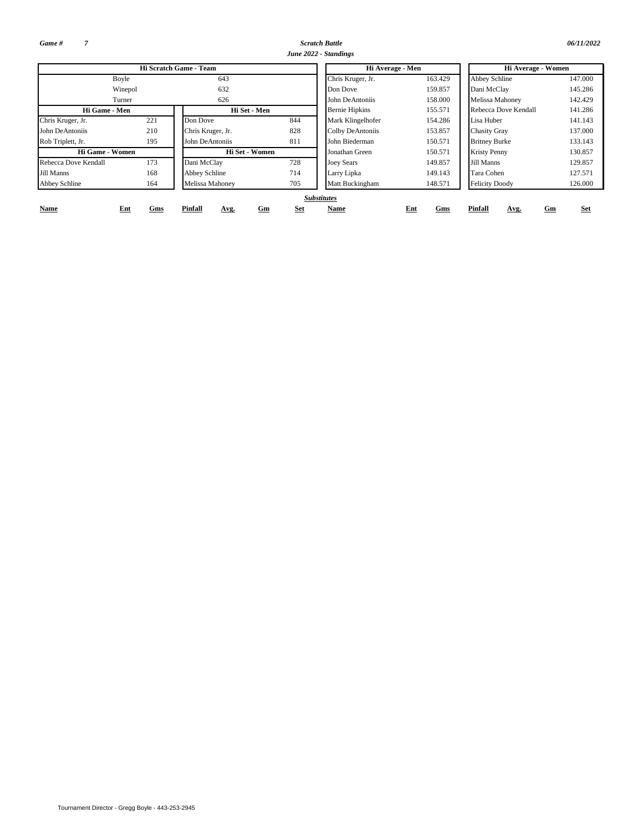*Game # 7*

*Scratch Battle 06/11/2022 June 2022 - Standings*

| 06/11/2022 |  |  |  |
|------------|--|--|--|
|            |  |  |  |

|                      |            | Hi Scratch Game - Team |           | Hi Average - Men      |            | Hi Average - Women    |            |  |  |  |  |
|----------------------|------------|------------------------|-----------|-----------------------|------------|-----------------------|------------|--|--|--|--|
|                      | Boyle      | 643                    |           | Chris Kruger, Jr.     | 163.429    | <b>Abbey Schline</b>  | 147.000    |  |  |  |  |
|                      | Winepol    | 632                    |           | Don Dove              | 159.857    | Dani McClay           | 145.286    |  |  |  |  |
|                      | Turner     | 626                    |           | John DeAntoniis       | 158.000    | Melissa Mahoney       | 142.429    |  |  |  |  |
| Hi Game - Men        |            | Hi Set - Men           |           | <b>Bernie Hipkins</b> | 155.571    | Rebecca Dove Kendall  | 141.286    |  |  |  |  |
| Chris Kruger, Jr.    | 221        | Don Dove               | 844       | Mark Klingelhofer     | 154.286    | Lisa Huber            | 141.143    |  |  |  |  |
| John DeAntoniis      | 210        | Chris Kruger, Jr.      | 828       | Colby DeAntoniis      | 153.857    | <b>Chasity Gray</b>   | 137.000    |  |  |  |  |
| Rob Triplett, Jr.    | 195        | John DeAntoniis        | 811       | John Biederman        | 150.571    | <b>Britney Burke</b>  | 133.143    |  |  |  |  |
| Hi Game - Women      |            | Hi Set - Women         |           | Jonathan Green        | 150.571    | <b>Kristy Penny</b>   | 130.857    |  |  |  |  |
| Rebecca Dove Kendall | 173        | Dani McClay            | 728       | <b>Joey Sears</b>     | 149.857    | Jill Manns            | 129.857    |  |  |  |  |
| Jill Manns           | 168        | Abbey Schline          | 714       | Larry Lipka           | 149.143    | Tara Cohen            | 127.571    |  |  |  |  |
| Abbey Schline        | 164        | Melissa Mahoney        | 705       | Matt Buckingham       | 148.571    | <b>Felicity Doody</b> | 126.000    |  |  |  |  |
|                      |            |                        |           | <b>Substitutes</b>    |            |                       |            |  |  |  |  |
| <b>Name</b>          | Ent<br>Gms | Pinfall<br>Avg.        | Set<br>Gm | Name                  | Ent<br>Gms | Pinfall<br>Gm<br>Avg. | <b>Set</b> |  |  |  |  |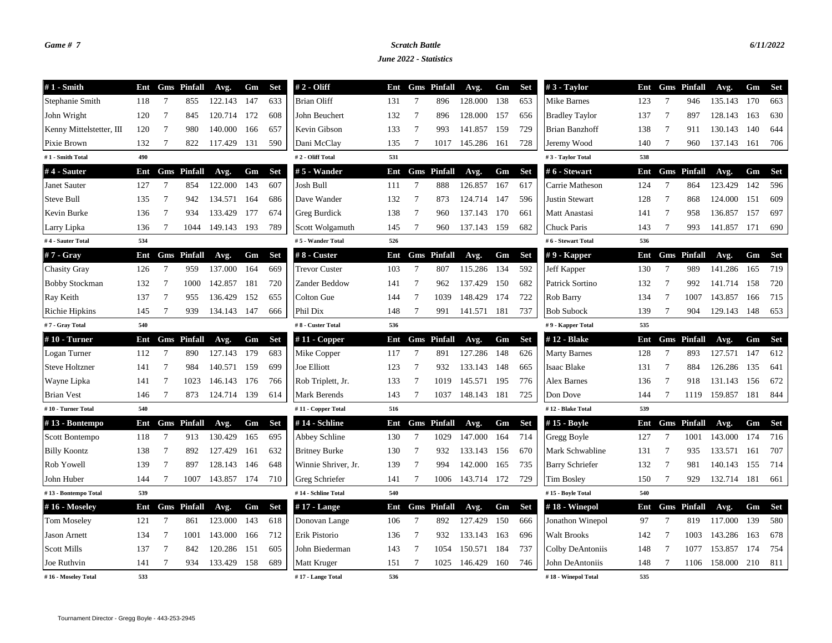## *Game # 7 Scratch Battle 6/11/2022*

*June 2022 - Statistics*

| $#1$ - Smith             | Ent |                 | <b>Gms</b> Pinfall | Avg.    | Gm  | <b>Set</b> | $# 2 - Oliff$        | Ent |                 | <b>Gms</b> Pinfall | Avg.        | Gm   | <b>Set</b> | $#3$ - Taylor          | Ent |                 | <b>Gms</b> Pinfall | Avg.    | Gm   | <b>Set</b> |
|--------------------------|-----|-----------------|--------------------|---------|-----|------------|----------------------|-----|-----------------|--------------------|-------------|------|------------|------------------------|-----|-----------------|--------------------|---------|------|------------|
| Stephanie Smith          | 118 | 7               | 855                | 122.143 | 147 | 633        | <b>Brian Oliff</b>   | 131 | 7               | 896                | 128.000     | 138  | 653        | Mike Barnes            | 123 | 7               | 946                | 135.143 | 170  | 663        |
| John Wright              | 120 | $\overline{7}$  | 845                | 120.714 | 172 | 608        | John Beuchert        | 132 | $\overline{7}$  | 896                | 128.000     | 157  | 656        | <b>Bradley Taylor</b>  | 137 | $7\phantom{.0}$ | 897                | 128.143 | 163  | 630        |
| Kenny Mittelstetter, III | 120 | 7               | 980                | 140.000 | 166 | 657        | Kevin Gibson         | 133 | 7               | 993                | 141.857     | 159  | 729        | Brian Banzhoff         | 138 | -7              | 911                | 130.143 | 140  | 644        |
| Pixie Brown              | 132 | $\overline{7}$  | 822                | 117.429 | 131 | 590        | Dani McClay          | 135 | $\overline{7}$  | 1017               | 145.286     | 161  | 728        | Jeremy Wood            | 140 | $\overline{7}$  | 960                | 137.143 | 161  | 706        |
| #1 - Smith Total         | 490 |                 |                    |         |     |            | #2 - Oliff Total     | 531 |                 |                    |             |      |            | #3 - Taylor Total      | 538 |                 |                    |         |      |            |
| #4 - Sauter              | Ent |                 | <b>Gms</b> Pinfall | Avg.    | Gm  | <b>Set</b> | $# 5$ - Wander       | Ent |                 | <b>Gms</b> Pinfall | Avg.        | Gm   | Set        | #6 - Stewart           | Ent |                 | <b>Gms</b> Pinfall | Avg.    | Gm   | <b>Set</b> |
| Janet Sauter             | 127 | 7               | 854                | 122.000 | 143 | 607        | Josh Bull            | 111 | 7               | 888                | 126.857     | 167  | 617        | Carrie Matheson        | 124 | 7               | 864                | 123.429 | 142  | 596        |
| Steve Bull               | 135 | $7\phantom{.0}$ | 942                | 134.571 | 164 | 686        | Dave Wander          | 132 | $\overline{7}$  | 873                | 124.714     | 147  | 596        | <b>Justin Stewart</b>  | 128 | $7\phantom{.0}$ | 868                | 124.000 | 151  | 609        |
| Kevin Burke              | 136 | 7               | 934                | 133.429 | 177 | 674        | Greg Burdick         | 138 | 7               | 960                | 137.143     | 170  | 661        | Matt Anastasi          | 141 | 7               | 958                | 136.857 | 157  | 697        |
| Larry Lipka              | 136 | $\overline{7}$  | 1044               | 149.143 | 193 | 789        | Scott Wolgamuth      | 145 | 7               | 960                | 137.143     | 159  | 682        | Chuck Paris            | 143 | 7               | 993                | 141.857 | 171  | 690        |
| #4 - Sauter Total        | 534 |                 |                    |         |     |            | #5 - Wander Total    | 526 |                 |                    |             |      |            | #6 - Stewart Total     | 536 |                 |                    |         |      |            |
| #7 - Gray                | Ent |                 | <b>Gms</b> Pinfall | Avg.    | Gm  | <b>Set</b> | #8 - Custer          | Ent |                 | <b>Gms</b> Pinfall | Avg.        | Gm   | Set        | $# 9$ - Kapper         | Ent |                 | <b>Gms</b> Pinfall | Avg.    | Gm   | Set        |
| <b>Chasity Gray</b>      | 126 | $7\phantom{.0}$ | 959                | 137.000 | 164 | 669        | <b>Trevor Custer</b> | 103 | $7\phantom{.0}$ | 807                | 115.286     | 134  | 592        | Jeff Kapper            | 130 | $7\phantom{.0}$ | 989                | 141.286 | 165  | 719        |
| <b>Bobby Stockman</b>    | 132 | 7               | 1000               | 142.857 | 181 | 720        | Zander Beddow        | 141 | 7               | 962                | 137.429     | 150  | 682        | Patrick Sortino        | 132 | 7               | 992                | 141.714 | 158  | 720        |
| Ray Keith                | 137 | 7               | 955                | 136.429 | 152 | 655        | Colton Gue           | 144 | 7               | 1039               | 148.429     | 174  | 722        | Rob Barry              | 134 | 7               | 1007               | 143.857 | 166  | 715        |
| Richie Hipkins           | 145 | $7\phantom{.0}$ | 939                | 134.143 | 147 | 666        | Phil Dix             | 148 | $\overline{7}$  | 991                | 141.571     | 181  | 737        | <b>Bob Subock</b>      | 139 | $7\phantom{.0}$ | 904                | 129.143 | 148  | 653        |
| #7 - Gray Total          | 540 |                 |                    |         |     |            | #8 - Custer Total    | 536 |                 |                    |             |      |            | #9 - Kapper Total      | 535 |                 |                    |         |      |            |
| #10 - Turner             | Ent |                 | <b>Gms</b> Pinfall | Avg.    | Gm  | <b>Set</b> | # $11$ - Copper      | Ent |                 | <b>Gms</b> Pinfall | Avg.        | Gm   | <b>Set</b> | #12 - Blake            | Ent |                 | <b>Gms</b> Pinfall | Avg.    | Gm   | <b>Set</b> |
| Logan Turner             | 112 | 7               | 890                | 127.143 | 179 | 683        | Mike Copper          | 117 | 7               | 891                | 127.286     | 148  | 626        | <b>Marty Barnes</b>    | 128 | 7               | 893                | 127.571 | 147  | 612        |
| <b>Steve Holtzner</b>    | 141 | $7\phantom{.0}$ | 984                | 140.571 | 159 | 699        | Joe Elliott          | 123 | $\overline{7}$  | 932                | 133.143     | 148  | 665        | <b>Isaac Blake</b>     | 131 | $\overline{7}$  | 884                | 126.286 | 135  | 641        |
| Wayne Lipka              | 141 | 7               | 1023               | 146.143 | 176 | 766        | Rob Triplett, Jr.    | 133 | 7               | 1019               | 145.571     | 195  | 776        | Alex Barnes            | 136 | $\overline{7}$  | 918                | 131.143 | 156  | 672        |
| <b>Brian Vest</b>        | 146 | 7               | 873                | 124.714 | 139 | 614        | Mark Berends         | 143 | 7               | 1037               | 148.143     | -181 | 725        | Don Dove               | 144 | 7               | 1119               | 159.857 | 181  | 844        |
| #10 - Turner Total       | 540 |                 |                    |         |     |            | #11 - Copper Total   | 516 |                 |                    |             |      |            | #12 - Blake Total      | 539 |                 |                    |         |      |            |
| #13 - Bontempo           | Ent |                 | <b>Gms</b> Pinfall | Avg.    | Gm  | <b>Set</b> | #14 - Schline        | Ent |                 | <b>Gms</b> Pinfall | Avg.        | Gm   | <b>Set</b> | #15 - Boyle            | Ent | Gms             | Pinfall            | Avg.    | Gm   | <b>Set</b> |
| Scott Bontempo           | 118 | 7               | 913                | 130.429 | 165 | 695        | Abbey Schline        | 130 | 7               | 1029               | 147.000     | 164  | 714        | Gregg Boyle            | 127 | 7               | 1001               | 143.000 | 174  | 716        |
| <b>Billy Koontz</b>      | 138 | 7               | 892                | 127.429 | 161 | 632        | <b>Britney Burke</b> | 130 | 7               | 932                | 133.143     | 156  | 670        | Mark Schwabline        | 131 | -7              | 935                | 133.571 | 161  | 707        |
| Rob Yowell               | 139 | 7               | 897                | 128.143 | 146 | 648        | Winnie Shriver, Jr.  | 139 | 7               | 994                | 142.000     | 165  | 735        | <b>Barry Schriefer</b> | 132 | -7              | 981                | 140.143 | 155  | 714        |
| John Huber               | 144 | 7               | 1007               | 143.857 | 174 | 710        | Greg Schriefer       | 141 | 7               | 1006               | 143.714 172 |      | 729        | <b>Tim Bosley</b>      | 150 | 7               | 929                | 132.714 | 181  | 661        |
| #13 - Bontempo Total     | 539 |                 |                    |         |     |            | #14 - Schline Total  | 540 |                 |                    |             |      |            | #15 - Boyle Total      | 540 |                 |                    |         |      |            |
| #16 - Moseley            | Ent |                 | <b>Gms</b> Pinfall | Avg.    | Gm  | <b>Set</b> | $#17$ - Lange        | Ent |                 | <b>Gms</b> Pinfall | Avg.        | Gm   | <b>Set</b> | $#18$ - Winepol        | Ent |                 | <b>Gms</b> Pinfall | Avg.    | Gm   | <b>Set</b> |
| <b>Tom Moseley</b>       | 121 | $\tau$          | 861                | 123.000 | 143 | 618        | Donovan Lange        | 106 | 7               | 892                | 127.429     | 150  | 666        | Jonathon Winepol       | 97  | 7               | 819                | 117.000 | 139  | 580        |
| <b>Jason Arnett</b>      | 134 | $7\phantom{.0}$ | 1001               | 143.000 | 166 | 712        | Erik Pistorio        | 136 | $7\phantom{.0}$ | 932                | 133.143     | 163  | 696        | <b>Walt Brooks</b>     | 142 | $7\phantom{.0}$ | 1003               | 143.286 | 163  | 678        |
| <b>Scott Mills</b>       | 137 | 7               | 842                | 120.286 | 151 | 605        | John Biederman       | 143 | -7              | 1054               | 150.571     | 184  | 737        | Colby DeAntoniis       | 148 | -7              | 1077               | 153.857 | -174 | 754        |
| Joe Ruthvin              | 141 | 7               | 934                | 133.429 | 158 | 689        | Matt Kruger          | 151 | 7               | 1025               | 146.429     | 160  | 746        | John DeAntoniis        | 148 | 7               | 1106               | 158.000 | 210  | 811        |
| #16 - Moseley Total      | 533 |                 |                    |         |     |            | #17 - Lange Total    | 536 |                 |                    |             |      |            | #18 - Winepol Total    | 535 |                 |                    |         |      |            |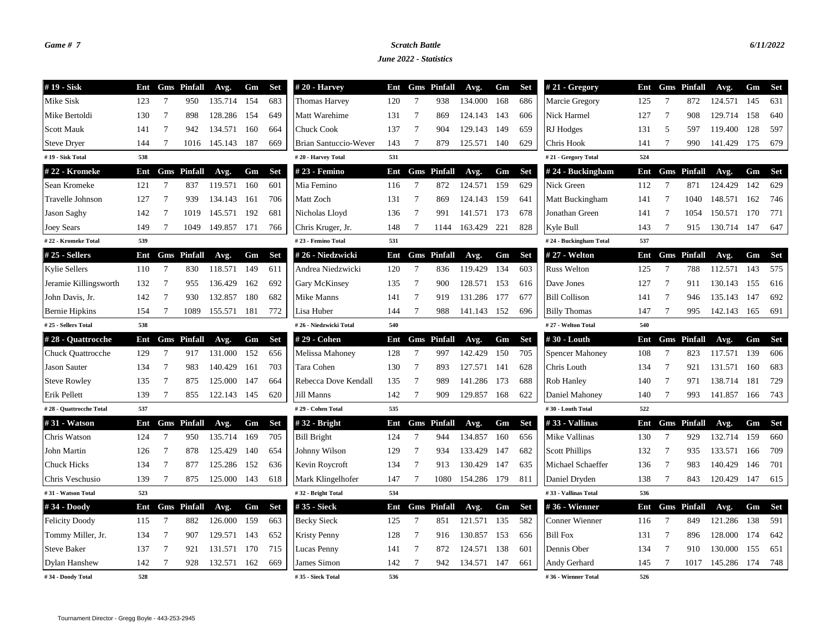## *Game # 7 Scratch Battle 6/11/2022*

*June 2022 - Statistics*

| #19 - Sisk               | Ent |                 | <b>Gms</b> Pinfall | Avg.        | Gm    | <b>Set</b> | $#20$ - Harvey         | Ent |                 | <b>Gms</b> Pinfall | Avg.        | Gm  | Set        | $#21 - Gregory$        | Ent |                 | <b>Gms</b> Pinfall | Avg.    | Gm    | <b>Set</b> |
|--------------------------|-----|-----------------|--------------------|-------------|-------|------------|------------------------|-----|-----------------|--------------------|-------------|-----|------------|------------------------|-----|-----------------|--------------------|---------|-------|------------|
| Mike Sisk                | 123 | $7\phantom{.0}$ | 950                | 135.714     | 154   | 683        | <b>Thomas Harvey</b>   | 120 | 7               | 938                | 134.000     | 168 | 686        | Marcie Gregory         | 125 | 7               | 872                | 124.571 | 145   | 631        |
| Mike Bertoldi            | 130 | 7               | 898                | 128.286     | 154   | 649        | Matt Warehime          | 131 | 7               | 869                | 124.143     | 143 | 606        | Nick Harmel            | 127 | $7\phantom{.0}$ | 908                | 129.714 | 158   | 640        |
| <b>Scott Mauk</b>        | 141 | 7               | 942                | 134.571     | 160   | 664        | <b>Chuck Cook</b>      | 137 | $7\phantom{.0}$ | 904                | 129.143     | 149 | 659        | RJ Hodges              | 131 | 5               | 597                | 119.400 | 128   | 597        |
| <b>Steve Dryer</b>       | 144 | 7               | 1016               | 145.143     | 187   | 669        | Brian Santuccio-Wever  | 143 | 7               | 879                | 125.571     | 140 | 629        | Chris Hook             | 141 | $7\phantom{.0}$ | 990                | 141.429 | 175   | 679        |
| #19 - Sisk Total         | 538 |                 |                    |             |       |            | #20 - Harvey Total     | 531 |                 |                    |             |     |            | #21 - Gregory Total    | 524 |                 |                    |         |       |            |
| #22 - Kromeke            | Ent |                 | <b>Gms</b> Pinfall | Avg.        | Gm    | <b>Set</b> | # 23 - Femino          | Ent |                 | <b>Gms</b> Pinfall | Avg.        | Gm  | <b>Set</b> | #24 - Buckingham       | Ent |                 | <b>Gms</b> Pinfall | Avg.    | Gm    | Set        |
| Sean Kromeke             | 121 | $7\phantom{.0}$ | 837                | 119.571     | 160   | 601        | Mia Femino             | 116 | $7\phantom{.0}$ | 872                | 124.571     | 159 | 629        | Nick Green             | 112 | $7\phantom{.0}$ | 871                | 124.429 | 142   | 629        |
| Travelle Johnson         | 127 | 7               | 939                | 134.143     | 161   | 706        | Matt Zoch              | 131 | 7               | 869                | 124.143     | 159 | 641        | Matt Buckingham        | 141 | -7              | 1040               | 148.571 | 162   | 746        |
| Jason Saghy              | 142 | $7\phantom{.0}$ | 1019               | 145.571     | 192   | 681        | Nicholas Lloyd         | 136 | 7               | 991                | 141.571     | 173 | 678        | Jonathan Green         | 141 | -7              | 1054               | 150.571 | 170   | 771        |
| <b>Joey Sears</b>        | 149 | 7               | 1049               | 149.857 171 |       | 766        | Chris Kruger, Jr.      | 148 | 7               | 1144               | 163.429 221 |     | 828        | Kyle Bull              | 143 | 7               | 915                | 130.714 | -147  | 647        |
| #22 - Kromeke Total      | 539 |                 |                    |             |       |            | #23 - Femino Total     | 531 |                 |                    |             |     |            | #24 - Buckingham Total | 537 |                 |                    |         |       |            |
| $#25 - Sellers$          | Ent |                 | <b>Gms</b> Pinfall | Avg.        | Gm    | <b>Set</b> | #26 - Niedzwicki       | Ent |                 | <b>Gms</b> Pinfall | Avg.        | Gm  | <b>Set</b> | # 27 - Welton          | Ent |                 | <b>Gms</b> Pinfall | Avg.    | Gm    | <b>Set</b> |
| <b>Kylie Sellers</b>     | 110 | 7               | 830                | 118.571     | 149   | 611        | Andrea Niedzwicki      | 120 | 7               | 836                | 119.429     | 134 | 603        | <b>Russ Welton</b>     | 125 | 7               | 788                | 112.571 | 143   | 575        |
| Jeramie Killingsworth    | 132 | 7               | 955                | 136.429     | 162   | 692        | Gary McKinsey          | 135 | $7\phantom{.0}$ | 900                | 128.571     | 153 | 616        | Dave Jones             | 127 | $7\phantom{.0}$ | 911                | 130.143 | 155   | 616        |
| John Davis, Jr.          | 142 | 7               | 930                | 132.857     | 180   | 682        | Mike Manns             | 141 | 7               | 919                | 131.286     | 177 | 677        | <b>Bill Collison</b>   | 141 | 7               | 946                | 135.143 | -147  | 692        |
| <b>Bernie Hipkins</b>    | 154 | 7               | 1089               | 155.571     | 181   | 772        | Lisa Huber             | 144 | $\overline{7}$  | 988                | 141.143     | 152 | 696        | <b>Billy Thomas</b>    | 147 | 7               | 995                | 142.143 | - 165 | 691        |
| #25 - Sellers Total      | 538 |                 |                    |             |       |            | #26 - Niedzwicki Total | 540 |                 |                    |             |     |            | #27 - Welton Total     | 540 |                 |                    |         |       |            |
| #28 - Quattrocche        | Ent |                 | <b>Gms</b> Pinfall | Avg.        | Gm    | <b>Set</b> | #29 - Cohen            | Ent |                 | <b>Gms</b> Pinfall | Avg.        | Gm  | <b>Set</b> | #30 - Louth            | Ent |                 | <b>Gms</b> Pinfall | Avg.    | Gm    | <b>Set</b> |
| <b>Chuck Quattrocche</b> | 129 | $7\phantom{.0}$ | 917                | 131.000     | 152   | 656        | Melissa Mahoney        | 128 | $7\phantom{.0}$ | 997                | 142.429     | 150 | 705        | <b>Spencer Mahoney</b> | 108 | $7\phantom{.0}$ | 823                | 117.571 | 139   | 606        |
| <b>Jason Sauter</b>      | 134 | $7\phantom{.0}$ | 983                | 140.429     | 161   | 703        | Tara Cohen             | 130 | 7               | 893                | 127.571     | 141 | 628        | Chris Louth            | 134 | $7\phantom{.0}$ | 921                | 131.571 | 160   | 683        |
| <b>Steve Rowley</b>      | 135 | 7               | 875                | 125.000     | 147   | 664        | Rebecca Dove Kendall   | 135 | 7               | 989                | 141.286     | 173 | 688        | Rob Hanley             | 140 | 7               | 971                | 138.714 | -181  | 729        |
| Erik Pellett             | 139 | $7\phantom{.0}$ | 855                | 122.143 145 |       | 620        | Jill Manns             | 142 | $7\phantom{.0}$ | 909                | 129.857     | 168 | 622        | Daniel Mahoney         | 140 | $\overline{7}$  | 993                | 141.857 | 166   | 743        |
| #28 - Quattrocche Total  | 537 |                 |                    |             |       |            | #29 - Cohen Total      | 535 |                 |                    |             |     |            | #30 - Louth Total      | 522 |                 |                    |         |       |            |
| #31 - Watson             | Ent |                 | <b>Gms</b> Pinfall | Avg.        | Gm    | <b>Set</b> | $#32$ - Bright         | Ent |                 | <b>Gms</b> Pinfall | Avg.        | Gm  | <b>Set</b> | #33 - Vallinas         | Ent |                 | <b>Gms</b> Pinfall | Avg.    | Gm    | Set        |
| Chris Watson             | 124 | $\overline{7}$  | 950                | 135.714     | 169   | 705        | <b>Bill Bright</b>     | 124 | $7\phantom{.0}$ | 944                | 134.857     | 160 | 656        | Mike Vallinas          | 130 | $7\phantom{.0}$ | 929                | 132.714 | 159   | 660        |
| John Martin              | 126 | 7               | 878                | 125.429     | 140   | 654        | Johnny Wilson          | 129 | 7               | 934                | 133.429     | 147 | 682        | <b>Scott Phillips</b>  | 132 | 7               | 935                | 133.571 | 166   | 709        |
| <b>Chuck Hicks</b>       | 134 | 7               | 877                | 125.286     | 152   | 636        | Kevin Roycroft         | 134 | 7               | 913                | 130.429     | 147 | 635        | Michael Schaeffer      | 136 | 7               | 983                | 140.429 | 146   | 701        |
| Chris Veschusio          | 139 | 7               | 875                | 125.000 143 |       | 618        | Mark Klingelhofer      | 147 | 7               | 1080               | 154.286 179 |     | 811        | Daniel Dryden          | 138 | 7               | 843                | 120.429 | - 147 | 615        |
| #31 - Watson Total       | 523 |                 |                    |             |       |            | #32 - Bright Total     | 534 |                 |                    |             |     |            | #33 - Vallinas Total   | 536 |                 |                    |         |       |            |
| #34 - Doody              | Ent |                 | <b>Gms</b> Pinfall | Avg.        | Gm    | <b>Set</b> | #35 - Sieck            | Ent |                 | <b>Gms</b> Pinfall | Avg.        | Gm  | <b>Set</b> | #36 - Wienner          |     |                 | Ent Gms Pinfall    | Avg.    | Gm    | Set        |
| <b>Felicity Doody</b>    | 115 | $7\phantom{.0}$ | 882                | 126.000     | 159   | 663        | <b>Becky Sieck</b>     | 125 | $7\phantom{.0}$ | 851                | 121.571     | 135 | 582        | Conner Wienner         | 116 | $7\phantom{.0}$ | 849                | 121.286 | 138   | 591        |
| Tommy Miller, Jr.        | 134 | 7               | 907                | 129.571     | 143   | 652        | <b>Kristy Penny</b>    | 128 | 7               | 916                | 130.857     | 153 | 656        | <b>Bill Fox</b>        | 131 | 7               | 896                | 128.000 | 174   | 642        |
| <b>Steve Baker</b>       | 137 | 7               | 921                | 131.571     | - 170 | 715        | Lucas Penny            | 141 | 7               | 872                | 124.571     | 138 | 601        | Dennis Ober            | 134 | 7               | 910                | 130.000 | 155   | 651        |
| <b>Dylan Hanshew</b>     | 142 | 7               | 928                | 132.571     | 162   | 669        | James Simon            | 142 | $7\phantom{.0}$ | 942                | 134.571     | 147 | 661        | Andy Gerhard           | 145 | $7\phantom{.0}$ | 1017               | 145.286 | 174   | 748        |
| #34 - Doody Total        | 528 |                 |                    |             |       |            | #35 - Sieck Total      | 536 |                 |                    |             |     |            | #36 - Wienner Total    | 526 |                 |                    |         |       |            |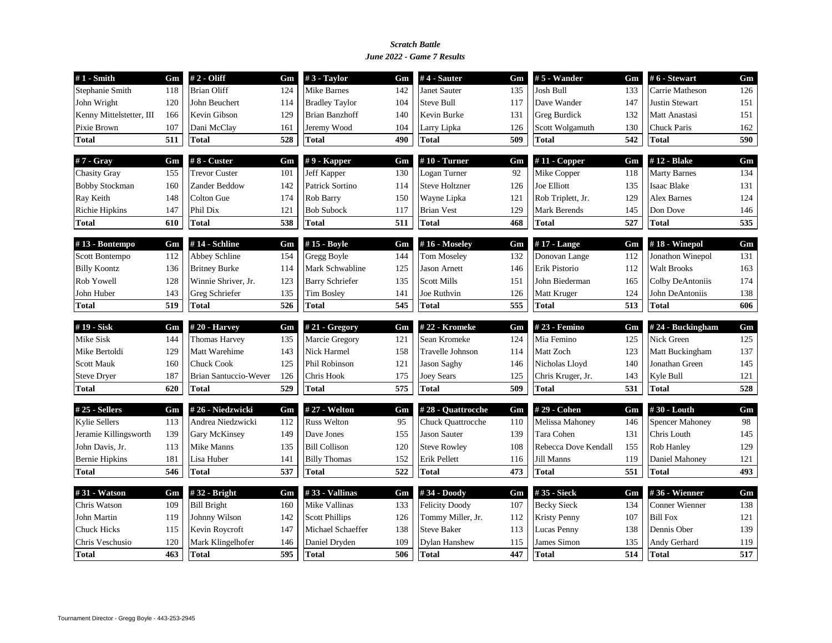### *June 2022 - Game 7 Results Scratch Battle*

| $#1$ - Smith                 | Gm  | # 2 - Oliff                        | Gm  | $#3$ - Taylor                   | Gm  | $#4$ - Sauter                        | Gm  | $# 5$ - Wander                    | Gm  | #6 - Stewart                    | Gm  |
|------------------------------|-----|------------------------------------|-----|---------------------------------|-----|--------------------------------------|-----|-----------------------------------|-----|---------------------------------|-----|
| Stephanie Smith              | 118 | <b>Brian Oliff</b>                 | 124 | Mike Barnes                     | 142 | Janet Sauter                         | 135 | Josh Bull                         | 133 | Carrie Matheson                 | 126 |
| John Wright                  | 120 | John Beuchert                      | 114 | <b>Bradley Taylor</b>           | 104 | <b>Steve Bull</b>                    | 117 | Dave Wander                       | 147 | <b>Justin Stewart</b>           | 151 |
| Kenny Mittelstetter, III     | 166 | Kevin Gibson                       | 129 | <b>Brian Banzhoff</b>           | 140 | Kevin Burke                          | 131 | <b>Greg Burdick</b>               | 132 | Matt Anastasi                   | 151 |
| Pixie Brown                  | 107 | Dani McClay                        | 161 | Jeremy Wood                     | 104 | Larry Lipka                          | 126 | Scott Wolgamuth                   | 130 | <b>Chuck Paris</b>              | 162 |
| <b>Total</b>                 | 511 | <b>Total</b>                       | 528 | <b>Total</b>                    | 490 | <b>Total</b>                         | 509 | Total                             | 542 | <b>Total</b>                    | 590 |
| #7 - Gray                    | Gm  | #8 - Custer                        | Gm  | $# 9$ - Kapper                  | Gm  | $#10$ - Turner                       | Gm  | $#11$ - Copper                    | Gm  | #12 - Blake                     | Gm  |
| <b>Chasity Gray</b>          | 155 | <b>Trevor Custer</b>               | 101 | Jeff Kapper                     | 130 | Logan Turner                         | 92  | Mike Copper                       | 118 | <b>Marty Barnes</b>             | 134 |
| <b>Bobby Stockman</b>        | 160 | Zander Beddow                      | 142 | Patrick Sortino                 | 114 | <b>Steve Holtzner</b>                | 126 | Joe Elliott                       | 135 | Isaac Blake                     | 131 |
| Ray Keith                    | 148 | Colton Gue                         | 174 | Rob Barry                       | 150 | Wayne Lipka                          | 121 | Rob Triplett, Jr.                 | 129 | <b>Alex Barnes</b>              | 124 |
| <b>Richie Hipkins</b>        | 147 | Phil Dix                           | 121 | <b>Bob Subock</b>               | 117 | <b>Brian Vest</b>                    | 129 | Mark Berends                      | 145 | Don Dove                        | 146 |
| Total                        | 610 | <b>Total</b>                       | 538 | <b>Total</b>                    | 511 | <b>Total</b>                         | 468 | Total                             | 527 | <b>Total</b>                    | 535 |
| #13 - Bontempo               | Gm  | #14 - Schline                      | Gm  | #15 - Boyle                     | Gm  | #16 - Moseley                        | Gm  | $#17$ - Lange                     | Gm  | #18 - Winepol                   | Gm  |
| Scott Bontempo               | 112 | Abbey Schline                      | 154 | Gregg Boyle                     | 144 | <b>Tom Moseley</b>                   | 132 | Donovan Lange                     | 112 | Jonathon Winepol                | 131 |
| <b>Billy Koontz</b>          | 136 | <b>Britney Burke</b>               | 114 | Mark Schwabline                 | 125 | <b>Jason Arnett</b>                  | 146 | Erik Pistorio                     | 112 | <b>Walt Brooks</b>              | 163 |
| Rob Yowell                   | 128 | Winnie Shriver, Jr.                | 123 | <b>Barry Schriefer</b>          | 135 | <b>Scott Mills</b>                   | 151 | John Biederman                    | 165 | Colby DeAntoniis                | 174 |
| John Huber                   | 143 | Greg Schriefer                     | 135 | <b>Tim Bosley</b>               | 141 | Joe Ruthvin                          | 126 | Matt Kruger                       | 124 | John DeAntoniis                 | 138 |
| <b>Total</b>                 | 519 | <b>Total</b>                       | 526 | <b>Total</b>                    | 545 | <b>Total</b>                         | 555 | Total                             | 513 | <b>Total</b>                    | 606 |
| #19 - Sisk                   | Gm  | $#20$ - Harvey                     | Gm  | # $21 - Gregory$                | Gm  | #22 - Kromeke                        | Gm  | # 23 - Femino                     | Gm  | #24 - Buckingham                | Gm  |
| Mike Sisk                    | 144 | <b>Thomas Harvey</b>               | 135 | Marcie Gregory                  | 121 | Sean Kromeke                         | 124 | Mia Femino                        | 125 | Nick Green                      | 125 |
| Mike Bertoldi                | 129 | Matt Warehime                      | 143 | Nick Harmel                     | 158 | Travelle Johnson                     | 114 | Matt Zoch                         | 123 | Matt Buckingham                 | 137 |
| <b>Scott Mauk</b>            | 160 | <b>Chuck Cook</b>                  | 125 | Phil Robinson                   | 121 | <b>Jason Saghy</b>                   | 146 | Nicholas Lloyd                    | 140 | Jonathan Green                  | 145 |
| <b>Steve Dryer</b>           | 187 | <b>Brian Santuccio-Wever</b>       | 126 | Chris Hook                      | 175 | <b>Joey Sears</b>                    | 125 | Chris Kruger, Jr.                 | 143 | Kyle Bull                       | 121 |
| <b>Total</b>                 | 620 | <b>Total</b>                       | 529 | <b>Total</b>                    | 575 | <b>Total</b>                         | 509 | Total                             | 531 | <b>Total</b>                    | 528 |
| #25 - Sellers                | Gm  | #26 - Niedzwicki                   | Gm  | # 27 - Welton                   | Gm  | #28 - Quattrocche                    | Gm  | # 29 - Cohen                      | Gm  | #30 - Louth                     | Gm  |
| <b>Kylie Sellers</b>         | 113 | Andrea Niedzwicki                  | 112 | <b>Russ Welton</b>              | 95  | Chuck Quattrocche                    | 110 | Melissa Mahoney                   | 146 | <b>Spencer Mahoney</b>          | 98  |
| Jeramie Killingsworth        | 139 | Gary McKinsey                      | 149 | Dave Jones                      | 155 | <b>Jason Sauter</b>                  | 139 | Tara Cohen                        | 131 | Chris Louth                     | 145 |
| John Davis, Jr.              | 113 | Mike Manns                         | 135 | <b>Bill Collison</b>            | 120 | <b>Steve Rowley</b>                  | 108 | Rebecca Dove Kendall              | 155 | Rob Hanley                      | 129 |
| <b>Bernie Hipkins</b>        | 181 | Lisa Huber                         | 141 | <b>Billy Thomas</b>             | 152 | Erik Pellett                         | 116 | Jill Manns                        | 119 | Daniel Mahoney                  | 121 |
| <b>Total</b>                 | 546 | <b>Total</b>                       | 537 | <b>Total</b>                    | 522 | <b>Total</b>                         | 473 | Total                             | 551 | <b>Total</b>                    | 493 |
|                              |     |                                    |     |                                 |     |                                      |     |                                   |     |                                 |     |
|                              | Gm  |                                    | Gm  |                                 | Gm  |                                      | Gm  |                                   | Gm  |                                 | Gm  |
| #31 - Watson<br>Chris Watson | 109 | #32 - Bright<br><b>Bill Bright</b> | 160 | #33 - Vallinas<br>Mike Vallinas | 133 | #34 - Doody<br><b>Felicity Doody</b> | 107 | #35 - Sieck<br><b>Becky Sieck</b> | 134 | #36 - Wienner<br>Conner Wienner | 138 |
| <b>John Martin</b>           | 119 | Johnny Wilson                      | 142 | <b>Scott Phillips</b>           | 126 | Tommy Miller, Jr.                    | 112 | <b>Kristy Penny</b>               | 107 | <b>Bill Fox</b>                 | 121 |
| <b>Chuck Hicks</b>           | 115 | Kevin Roycroft                     | 147 | Michael Schaeffer               | 138 | <b>Steve Baker</b>                   | 113 | Lucas Penny                       | 138 | Dennis Ober                     | 139 |
| Chris Veschusio              | 120 | Mark Klingelhofer                  | 146 | Daniel Dryden                   | 109 | <b>Dylan Hanshew</b>                 | 115 | James Simon                       | 135 | Andy Gerhard                    | 119 |